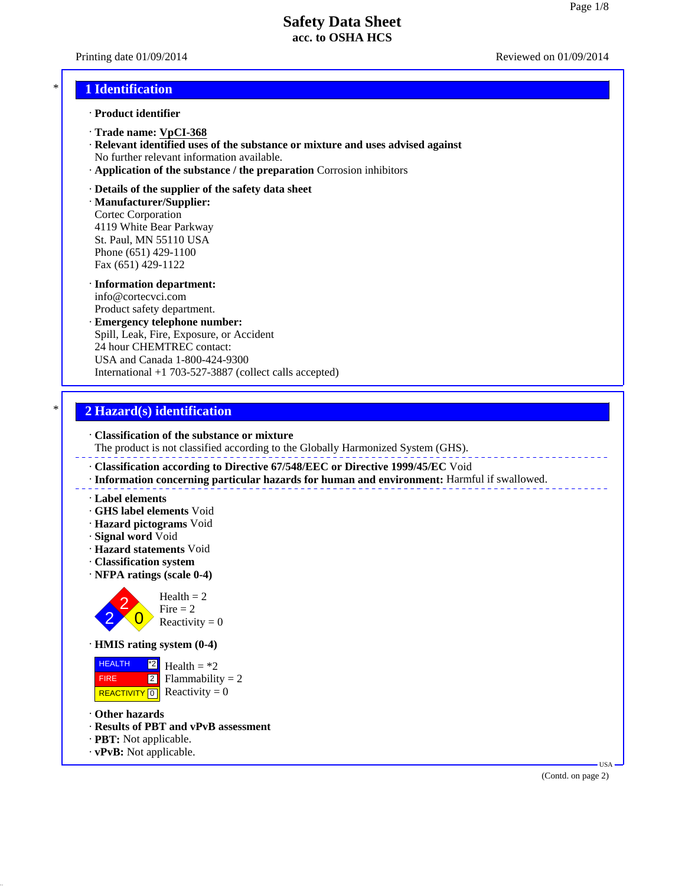Printing date 01/09/2014 Reviewed on 01/09/2014

## \* **1 Identification**

- · **Product identifier**
- · **Trade name: VpCI-368**
- · **Relevant identified uses of the substance or mixture and uses advised against** No further relevant information available.
- · **Application of the substance / the preparation** Corrosion inhibitors
- · **Details of the supplier of the safety data sheet**

· **Manufacturer/Supplier:** Cortec Corporation 4119 White Bear Parkway St. Paul, MN 55110 USA Phone (651) 429-1100 Fax (651) 429-1122

- · **Information department:** info@cortecvci.com Product safety department.
- · **Emergency telephone number:** Spill, Leak, Fire, Exposure, or Accident 24 hour CHEMTREC contact: USA and Canada 1-800-424-9300 International +1 703-527-3887 (collect calls accepted)

# \* **2 Hazard(s) identification**

· **Classification of the substance or mixture**

The product is not classified according to the Globally Harmonized System (GHS).

- · **Classification according to Directive 67/548/EEC or Directive 1999/45/EC** Void
- · **Information concerning particular hazards for human and environment:** Harmful if swallowed.
- · **Label elements**
- · **GHS label elements** Void
- · **Hazard pictograms** Void
- · **Signal word** Void
- · **Hazard statements** Void
- · **Classification system**
- · **NFPA ratings (scale 0-4)**



· **HMIS rating system (0-4)**

 HEALTH FIRE REACTIVITY  $\boxed{0}$  Reactivity = 0 \*2  $|2|$ Health  $= *2$  $Flammability = 2$ 

- · **Other hazards**
- · **Results of PBT and vPvB assessment**
- · **PBT:** Not applicable.
- · **vPvB:** Not applicable.

(Contd. on page 2)

USA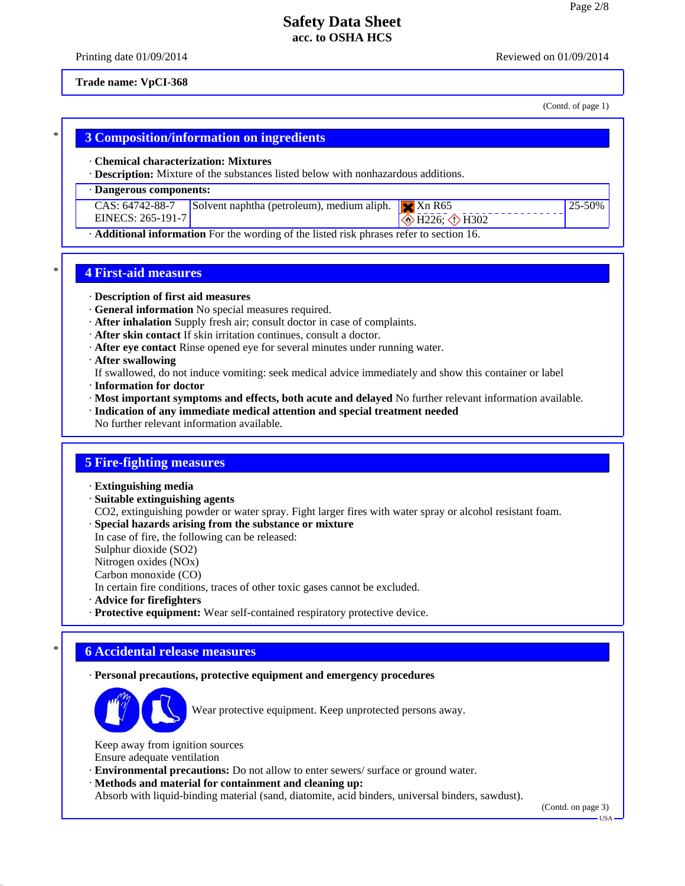Printing date 01/09/2014 **Reviewed on 01/09/2014** Reviewed on 01/09/2014

#### **Trade name: VpCI-368**

(Contd. of page 1)

25-50%

# \* **3 Composition/information on ingredients**

#### · **Chemical characterization: Mixtures**

· **Description:** Mixture of the substances listed below with nonhazardous additions.

#### · **Dangerous components:**

|                   | CAS: 64742-88-7 Solvent naphtha (petroleum), medium aliph. $\mathbf{X}$ Xn R65 |                                                        |
|-------------------|--------------------------------------------------------------------------------|--------------------------------------------------------|
| EINECS: 265-191-7 |                                                                                | $\overline{\diamond}$ H226; $\overline{\diamond}$ H302 |

· **Additional information** For the wording of the listed risk phrases refer to section 16.

# \* **4 First-aid measures**

#### · **Description of first aid measures**

- · **General information** No special measures required.
- · **After inhalation** Supply fresh air; consult doctor in case of complaints.
- · **After skin contact** If skin irritation continues, consult a doctor.
- · **After eye contact** Rinse opened eye for several minutes under running water.
- · **After swallowing**

If swallowed, do not induce vomiting: seek medical advice immediately and show this container or label

- · **Information for doctor**
- · **Most important symptoms and effects, both acute and delayed** No further relevant information available.
- · **Indication of any immediate medical attention and special treatment needed**
- No further relevant information available.

### **5 Fire-fighting measures**

- · **Extinguishing media**
- · **Suitable extinguishing agents**
- CO2, extinguishing powder or water spray. Fight larger fires with water spray or alcohol resistant foam.
- · **Special hazards arising from the substance or mixture**

In case of fire, the following can be released:

Sulphur dioxide (SO2)

Nitrogen oxides (NOx)

Carbon monoxide (CO)

In certain fire conditions, traces of other toxic gases cannot be excluded.

· **Advice for firefighters**

· **Protective equipment:** Wear self-contained respiratory protective device.

## \* **6 Accidental release measures**

#### · **Personal precautions, protective equipment and emergency procedures**



Wear protective equipment. Keep unprotected persons away.

Keep away from ignition sources Ensure adequate ventilation

- · **Environmental precautions:** Do not allow to enter sewers/ surface or ground water.
- · **Methods and material for containment and cleaning up:**

Absorb with liquid-binding material (sand, diatomite, acid binders, universal binders, sawdust).

(Contd. on page 3)

USA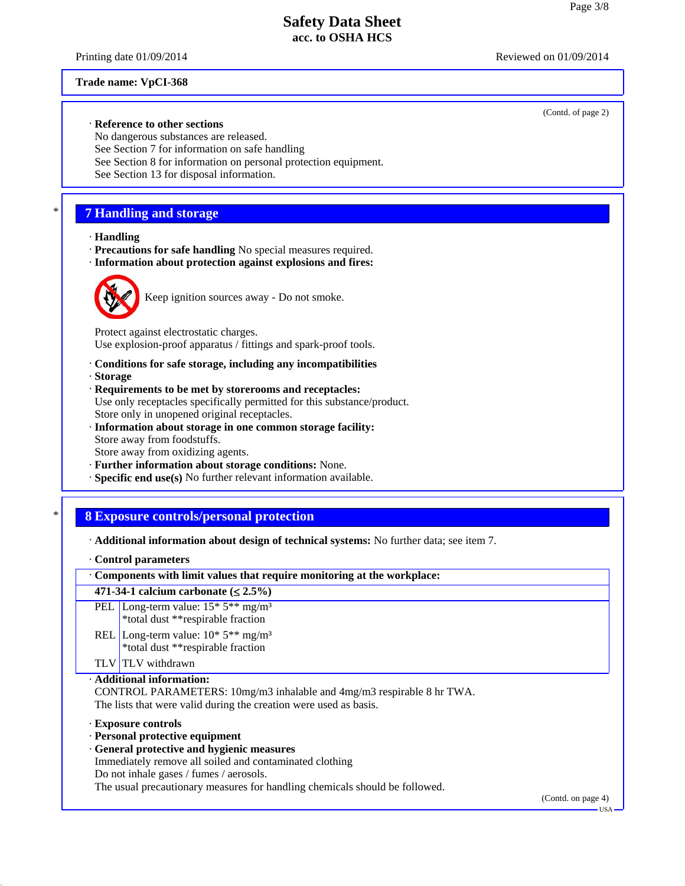Printing date 01/09/2014 Reviewed on 01/09/2014

(Contd. of page 2)

#### **Trade name: VpCI-368**

#### · **Reference to other sections**

No dangerous substances are released. See Section 7 for information on safe handling See Section 8 for information on personal protection equipment. See Section 13 for disposal information.

# \* **7 Handling and storage**

#### · **Handling**

- · **Precautions for safe handling** No special measures required.
- · **Information about protection against explosions and fires:**



Keep ignition sources away - Do not smoke.

Protect against electrostatic charges. Use explosion-proof apparatus / fittings and spark-proof tools.

- · **Conditions for safe storage, including any incompatibilities**
- · **Storage**
- · **Requirements to be met by storerooms and receptacles:** Use only receptacles specifically permitted for this substance/product. Store only in unopened original receptacles.
- · **Information about storage in one common storage facility:** Store away from foodstuffs. Store away from oxidizing agents.
- · **Further information about storage conditions:** None.
- · **Specific end use(s)** No further relevant information available.

# \* **8 Exposure controls/personal protection**

| Additional information about design of technical systems: No further data; see item 7. |  |  |
|----------------------------------------------------------------------------------------|--|--|
|----------------------------------------------------------------------------------------|--|--|

· **Control parameters**

| · Components with limit values that require monitoring at the workplace:                                                                                                                                                                                                                |                    |  |
|-----------------------------------------------------------------------------------------------------------------------------------------------------------------------------------------------------------------------------------------------------------------------------------------|--------------------|--|
| 471-34-1 calcium carbonate $(\leq 2.5\%)$                                                                                                                                                                                                                                               |                    |  |
| PEL Long-term value: $15*5**mg/m3$<br>*total dust **respirable fraction                                                                                                                                                                                                                 |                    |  |
| REL Long-term value: $10^*$ 5 <sup>**</sup> mg/m <sup>3</sup><br>*total dust **respirable fraction                                                                                                                                                                                      |                    |  |
| TLV TLV withdrawn                                                                                                                                                                                                                                                                       |                    |  |
| · Additional information:<br>CONTROL PARAMETERS: 10mg/m3 inhalable and 4mg/m3 respirable 8 hr TWA.<br>The lists that were valid during the creation were used as basis.                                                                                                                 |                    |  |
| Exposure controls<br>· Personal protective equipment<br>· General protective and hygienic measures<br>Immediately remove all soiled and contaminated clothing<br>Do not inhale gases / fumes / aerosols.<br>The usual precautionary measures for handling chemicals should be followed. | (Contd. on page 4) |  |
|                                                                                                                                                                                                                                                                                         | - USA              |  |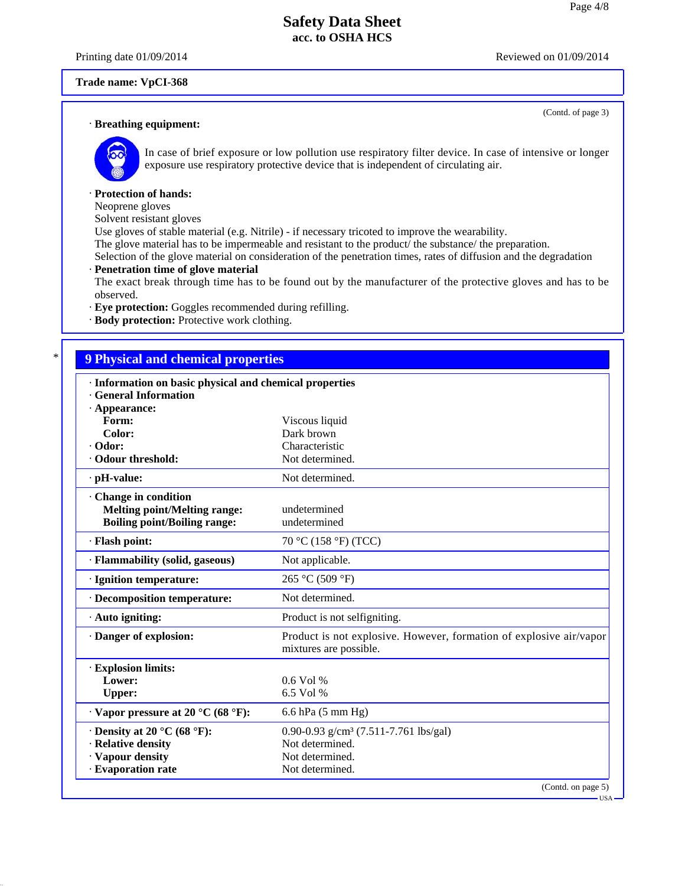Printing date 01/09/2014 Reviewed on 01/09/2014

(Contd. of page 3)

#### **Trade name: VpCI-368**

#### · **Breathing equipment:**



In case of brief exposure or low pollution use respiratory filter device. In case of intensive or longer exposure use respiratory protective device that is independent of circulating air.

#### · **Protection of hands:**

Neoprene gloves

Solvent resistant gloves

Use gloves of stable material (e.g. Nitrile) - if necessary tricoted to improve the wearability.

The glove material has to be impermeable and resistant to the product  $\overline{I}$  the substance the preparation.

Selection of the glove material on consideration of the penetration times, rates of diffusion and the degradation

#### · **Penetration time of glove material**

The exact break through time has to be found out by the manufacturer of the protective gloves and has to be observed.

· **Eye protection:** Goggles recommended during refilling.

· **Body protection:** Protective work clothing.

# \* **9 Physical and chemical properties**

| · Information on basic physical and chemical properties<br><b>General Information</b> |                                                                                               |  |
|---------------------------------------------------------------------------------------|-----------------------------------------------------------------------------------------------|--|
| $\cdot$ Appearance:                                                                   |                                                                                               |  |
| Form:                                                                                 | Viscous liquid                                                                                |  |
| Color:                                                                                | Dark brown                                                                                    |  |
| · Odor:                                                                               | Characteristic                                                                                |  |
| Odour threshold:                                                                      | Not determined.                                                                               |  |
| $\cdot$ pH-value:                                                                     | Not determined.                                                                               |  |
| Change in condition                                                                   |                                                                                               |  |
| <b>Melting point/Melting range:</b>                                                   | undetermined                                                                                  |  |
| <b>Boiling point/Boiling range:</b>                                                   | undetermined                                                                                  |  |
| · Flash point:                                                                        | 70 °C (158 °F) (TCC)                                                                          |  |
| · Flammability (solid, gaseous)                                                       | Not applicable.                                                                               |  |
| · Ignition temperature:                                                               | 265 °C (509 °F)                                                                               |  |
| · Decomposition temperature:                                                          | Not determined.                                                                               |  |
| $\cdot$ Auto igniting:                                                                | Product is not selfigniting.                                                                  |  |
| · Danger of explosion:                                                                | Product is not explosive. However, formation of explosive air/vapor<br>mixtures are possible. |  |
| · Explosion limits:                                                                   |                                                                                               |  |
| Lower:                                                                                | 0.6 Vol %                                                                                     |  |
| <b>Upper:</b>                                                                         | 6.5 Vol %                                                                                     |  |
| $\cdot$ Vapor pressure at 20 °C (68 °F):                                              | 6.6 hPa (5 mm Hg)                                                                             |  |
| $\cdot$ Density at 20 °C (68 °F):                                                     | 0.90-0.93 g/cm <sup>3</sup> (7.511-7.761 lbs/gal)                                             |  |
| · Relative density                                                                    | Not determined.                                                                               |  |
| · Vapour density                                                                      | Not determined.                                                                               |  |
| · Evaporation rate                                                                    | Not determined.                                                                               |  |
|                                                                                       | (Contd. on page 5)                                                                            |  |

USA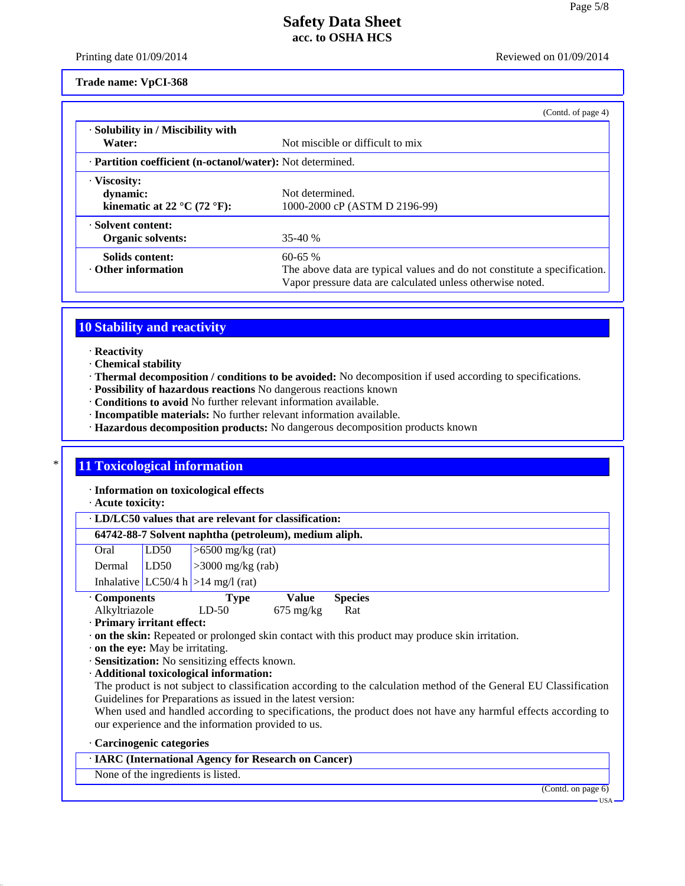Printing date 01/09/2014 **Reviewed on 01/09/2014** Reviewed on 01/09/2014

**Trade name: VpCI-368**

|                                                                                      | (Contd. of page 4)                                                                                                                                    |
|--------------------------------------------------------------------------------------|-------------------------------------------------------------------------------------------------------------------------------------------------------|
| $\cdot$ Solubility in / Miscibility with<br>Water:                                   | Not miscible or difficult to mix                                                                                                                      |
| · Partition coefficient (n-octanol/water): Not determined.                           |                                                                                                                                                       |
| · Viscosity:<br>dynamic:<br>kinematic at 22 $\rm{^{\circ}C}$ (72 $\rm{^{\circ}F})$ : | Not determined.<br>1000-2000 cP (ASTM D 2196-99)                                                                                                      |
| · Solvent content:<br><b>Organic solvents:</b>                                       | $35-40%$                                                                                                                                              |
| Solids content:<br>$\cdot$ Other information                                         | $60 - 65 %$<br>The above data are typical values and do not constitute a specification.<br>Vapor pressure data are calculated unless otherwise noted. |

# **10 Stability and reactivity**

- · **Reactivity**
- · **Chemical stability**
- · **Thermal decomposition / conditions to be avoided:** No decomposition if used according to specifications.
- · **Possibility of hazardous reactions** No dangerous reactions known
- · **Conditions to avoid** No further relevant information available.
- · **Incompatible materials:** No further relevant information available.
- · **Hazardous decomposition products:** No dangerous decomposition products known

# **11 Toxicological information**

· **Information on toxicological effects**

· **Acute toxicity:**

## · **LD/LC50 values that are relevant for classification:**

### **64742-88-7 Solvent naphtha (petroleum), medium aliph.**

| Oral   | LD50 | $\sim$ 500 mg/kg (rat)               |
|--------|------|--------------------------------------|
| Dermal | LD50 | $\frac{1}{3000}$ mg/kg (rab)         |
|        |      | Inhalative $LC50/4 h$ >14 mg/l (rat) |

| • Components  | <b>Type</b> | Value               | <b>Species</b> |
|---------------|-------------|---------------------|----------------|
| Alkyltriazole | $LD-50$     | $675 \text{ mg/kg}$ | Rat            |

- · **Primary irritant effect:**
- · **on the skin:** Repeated or prolonged skin contact with this product may produce skin irritation.
- · **on the eye:** May be irritating.
- · **Sensitization:** No sensitizing effects known.
- · **Additional toxicological information:**
- The product is not subject to classification according to the calculation method of the General EU Classification Guidelines for Preparations as issued in the latest version:
- When used and handled according to specifications, the product does not have any harmful effects according to our experience and the information provided to us.

#### · **Carcinogenic categories**

## · **IARC (International Agency for Research on Cancer)**

None of the ingredients is listed.

(Contd. on page 6)

USA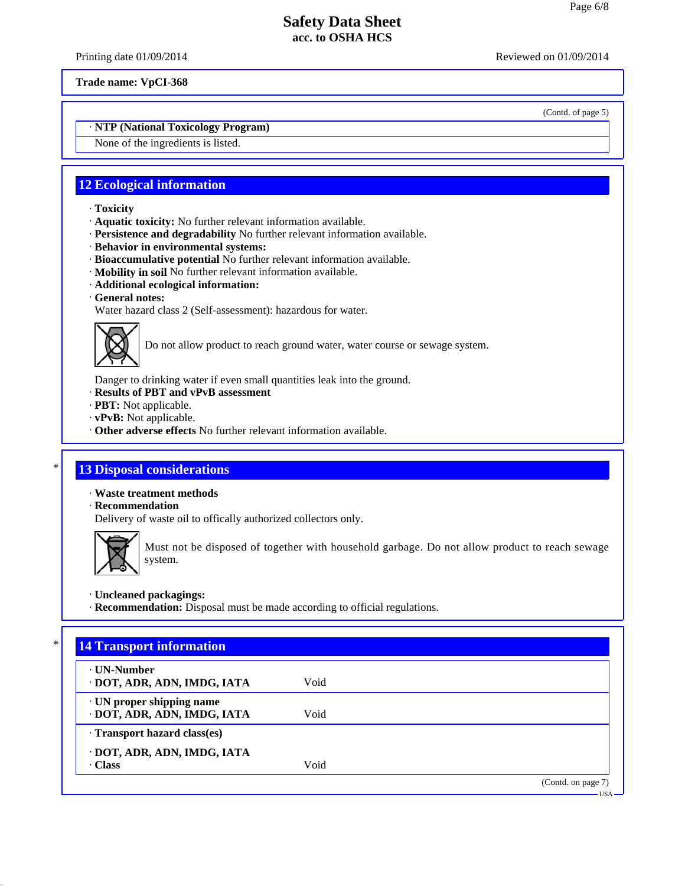Printing date 01/09/2014 **Reviewed on 01/09/2014** Reviewed on 01/09/2014

**Trade name: VpCI-368**

(Contd. of page 5)

# · **NTP (National Toxicology Program)**

None of the ingredients is listed.

# **12 Ecological information**

- · **Toxicity**
- · **Aquatic toxicity:** No further relevant information available.
- · **Persistence and degradability** No further relevant information available.
- · **Behavior in environmental systems:**
- · **Bioaccumulative potential** No further relevant information available.
- · **Mobility in soil** No further relevant information available.
- · **Additional ecological information:**
- · **General notes:**
- Water hazard class 2 (Self-assessment): hazardous for water.



Do not allow product to reach ground water, water course or sewage system.

Danger to drinking water if even small quantities leak into the ground.

- · **Results of PBT and vPvB assessment**
- · **PBT:** Not applicable.
- · **vPvB:** Not applicable.
- · **Other adverse effects** No further relevant information available.

# **13 Disposal considerations**

· **Waste treatment methods**

· **Recommendation**

Delivery of waste oil to offically authorized collectors only.



Must not be disposed of together with household garbage. Do not allow product to reach sewage system.

· **Uncleaned packagings:**

· **Recommendation:** Disposal must be made according to official regulations.

| ⋅ UN-Number                  |      |  |
|------------------------------|------|--|
| · DOT, ADR, ADN, IMDG, IATA  | Void |  |
| · UN proper shipping name    |      |  |
| · DOT, ADR, ADN, IMDG, IATA  | Void |  |
| · Transport hazard class(es) |      |  |
| · DOT, ADR, ADN, IMDG, IATA  |      |  |
| · Class                      | Void |  |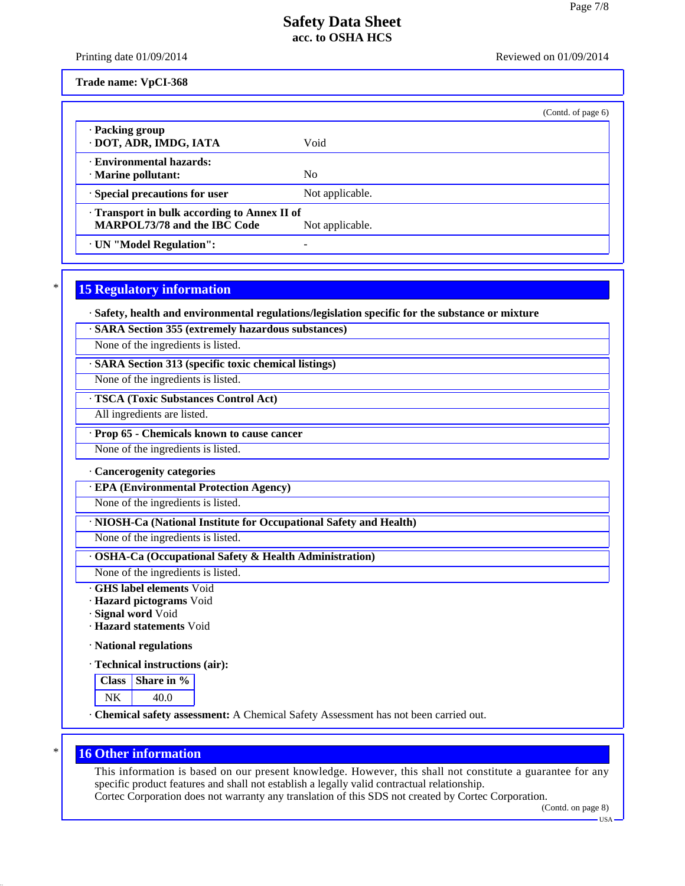Printing date 01/09/2014 **Reviewed on 01/09/2014** Reviewed on 01/09/2014

**Trade name: VpCI-368**

|                                                                                                      |                 | (Contd. of page 6) |
|------------------------------------------------------------------------------------------------------|-----------------|--------------------|
| · Packing group<br>· DOT, ADR, IMDG, IATA                                                            | Void            |                    |
| <b>Environmental hazards:</b><br>· Marine pollutant:                                                 | N <sub>0</sub>  |                    |
| · Special precautions for user                                                                       | Not applicable. |                    |
| Transport in bulk according to Annex II of<br><b>MARPOL73/78 and the IBC Code</b><br>Not applicable. |                 |                    |
| · UN "Model Regulation":                                                                             |                 |                    |

# **15 Regulatory information**

· **Safety, health and environmental regulations/legislation specific for the substance or mixture**

· **SARA Section 355 (extremely hazardous substances)**

None of the ingredients is listed.

· **SARA Section 313 (specific toxic chemical listings)**

None of the ingredients is listed.

#### · **TSCA (Toxic Substances Control Act)**

All ingredients are listed.

#### · **Prop 65 - Chemicals known to cause cancer**

None of the ingredients is listed.

#### · **Cancerogenity categories**

· **EPA (Environmental Protection Agency)**

None of the ingredients is listed.

· **NIOSH-Ca (National Institute for Occupational Safety and Health)**

None of the ingredients is listed.

· **OSHA-Ca (Occupational Safety & Health Administration)**

None of the ingredients is listed.

· **GHS label elements** Void

· **Hazard pictograms** Void

· **Signal word** Void

· **Hazard statements** Void

· **National regulations**

· **Technical instructions (air):**

| lass   Share in % |
|-------------------|
| 40 O              |

· **Chemical safety assessment:** A Chemical Safety Assessment has not been carried out.

# **16 Other information**

This information is based on our present knowledge. However, this shall not constitute a guarantee for any specific product features and shall not establish a legally valid contractual relationship.

Cortec Corporation does not warranty any translation of this SDS not created by Cortec Corporation.

(Contd. on page 8)